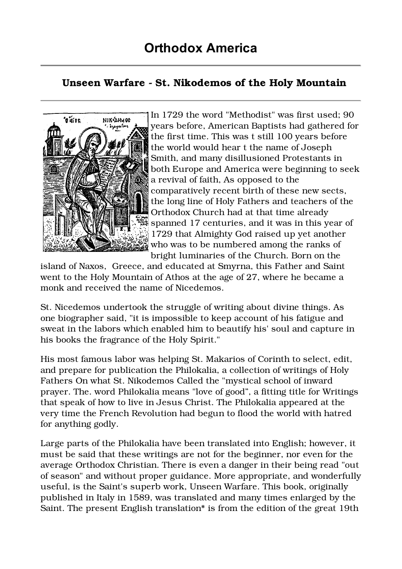## Unseen Warfare - St. Nikodemos of the Holy Mountain



In 1729 the word "Methodist" was first used; 90 years before, American Baptists had gathered for the first time. This was t still 100 years before the world would hear t the name of Joseph Smith, and many disillusioned Protestants in both Europe and America were beginning to seek a revival of faith, As opposed to the comparatively recent birth of these new sects, the long line of Holy Fathers and teachers of the Orthodox Church had at that time already spanned 17 centuries, and it was in this year of 1729 that Almighty God raised up yet another who was to be numbered among the ranks of bright luminaries of the Church. Born on the

island of Naxos, Greece, and educated at Smyrna, this Father and Saint went to the Holy Mountain of Athos at the age of 27, where he became a monk and received the name of Nicedemos.

St. Nicedemos undertook the struggle of writing about divine things. As one biographer said, "it is impossible to keep account of his fatigue and sweat in the labors which enabled him to beautify his' soul and capture in his books the fragrance of the Holy Spirit."

His most famous labor was helping St. Makarios of Corinth to select, edit, and prepare for publication the Philokalia, a collection of writings of Holy Fathers On what St. Nikodemos Called the "mystical school of inward prayer. The. word Philokalia means "love of good", a fitting title for Writings that speak of how to live in Jesus Christ. The Philokalia appeared at the very time the French Revolution had begun to flood the world with hatred for anything godly.

Large parts of the Philokalia have been translated into English; however, it must be said that these writings are not for the beginner, nor even for the average Orthodox Christian. There is even a danger in their being read "out of season" and without proper guidance. More appropriate, and wonderfully useful, is the Saint's superb work, Unseen Warfare. This book, originally published in Italy in 1589, was translated and many times enlarged by the Saint. The present English translation\* is from the edition of the great 19th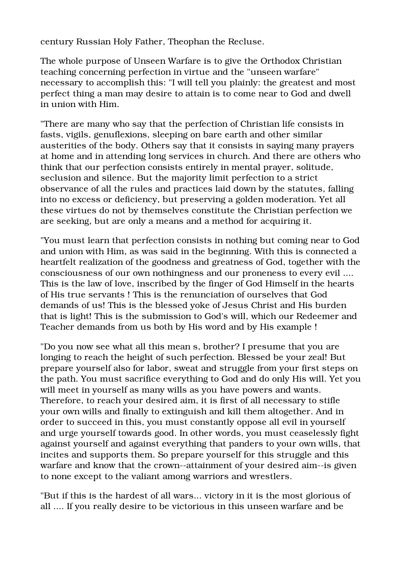century Russian Holy Father, Theophan the Recluse.

The whole purpose of Unseen Warfare is to give the Orthodox Christian teaching concerning perfection in virtue and the "unseen warfare" necessary to accomplish this: "I will tell you plainly: the greatest and most perfect thing a man may desire to attain is to come near to God and dwell in union with Him.

"There are many who say that the perfection of Christian life consists in fasts, vigils, genuflexions, sleeping on bare earth and other similar austerities of the body. Others say that it consists in saying many prayers at home and in attending long services in church. And there are others who think that our perfection consists entirely in mental prayer, solitude, seclusion and silence. But the majority limit perfection to a strict observance of all the rules and practices laid down by the statutes, falling into no excess or deficiency, but preserving a golden moderation. Yet all these virtues do not by themselves constitute the Christian perfection we are seeking, but are only a means and a method for acquiring it.

"You must learn that perfection consists in nothing but coming near to God and union with Him, as was said in the beginning. With this is connected a heartfelt realization of the goodness and greatness of God, together with the consciousness of our own nothingness and our proneness to every evil .... This is the law of love, inscribed by the finger of God Himself in the hearts of His true servants ! This is the renunciation of ourselves that God demands of us! This is the blessed yoke of Jesus Christ and His burden that is light! This is the submission to God's will, which our Redeemer and Teacher demands from us both by His word and by His example !

"Do you now see what all this mean s, brother? I presume that you are longing to reach the height of such perfection. Blessed be your zeal! But prepare yourself also for labor, sweat and struggle from your first steps on the path. You must sacrifice everything to God and do only His will. Yet you will meet in yourself as many wills as you have powers and wants. Therefore, to reach your desired aim, it is first of all necessary to stifle your own wills and finally to extinguish and kill them altogether. And in order to succeed in this, you must constantly oppose all evil in yourself and urge yourself towards good. In other words, you must ceaselessly fight against yourself and against everything that panders to your own wills, that incites and supports them. So prepare yourself for this struggle and this warfare and know that the crown--attainment of your desired aim--is given to none except to the valiant among warriors and wrestlers.

"But if this is the hardest of all wars... victory in it is the most glorious of all .... If you really desire to be victorious in this unseen warfare and be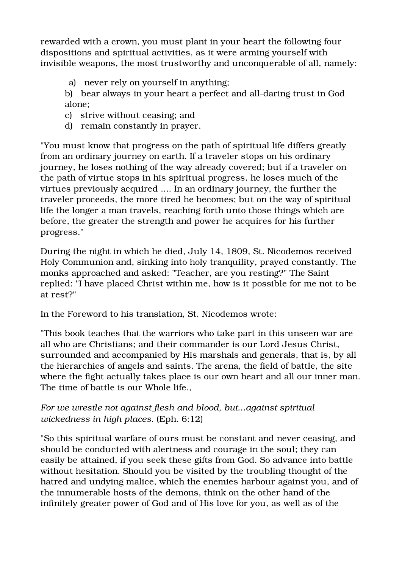rewarded with a crown, you must plant in your heart the following four dispositions and spiritual activities, as it were arming yourself with invisible weapons, the most trustworthy and unconquerable of all, namely:

a) never rely on yourself in anything;

b) bear always in your heart a perfect and all-daring trust in God alone;

- c) strive without ceasing; and
- d) remain constantly in prayer.

"You must know that progress on the path of spiritual life differs greatly from an ordinary journey on earth. If a traveler stops on his ordinary journey, he loses nothing of the way already covered; but if a traveler on the path of virtue stops in his spiritual progress, he loses much of the virtues previously acquired .... In an ordinary journey, the further the traveler proceeds, the more tired he becomes; but on the way of spiritual life the longer a man travels, reaching forth unto those things which are before, the greater the strength and power he acquires for his further progress."

During the night in which he died, July 14, 1809, St. Nicodemos received Holy Communion and, sinking into holy tranquility, prayed constantly. The monks approached and asked: "Teacher, are you resting?" The Saint replied: "I have placed Christ within me, how is it possible for me not to be at rest?"

In the Foreword to his translation, St. Nicodemos wrote:

"This book teaches that the warriors who take part in this unseen war are all who are Christians; and their commander is our Lord Jesus Christ, surrounded and accompanied by His marshals and generals, that is, by all the hierarchies of angels and saints. The arena, the field of battle, the site where the fight actually takes place is our own heart and all our inner man. The time of battle is our Whole life.,

## For we wrestle not against flesh and blood, but...against spiritual wickedness in high places. (Eph. 6:12)

"So this spiritual warfare of ours must be constant and never ceasing, and should be conducted with alertness and courage in the soul; they can easily be attained, if you seek these gifts from God. So advance into battle without hesitation. Should you be visited by the troubling thought of the hatred and undying malice, which the enemies harbour against you, and of the innumerable hosts of the demons, think on the other hand of the infinitely greater power of God and of His love for you, as well as of the